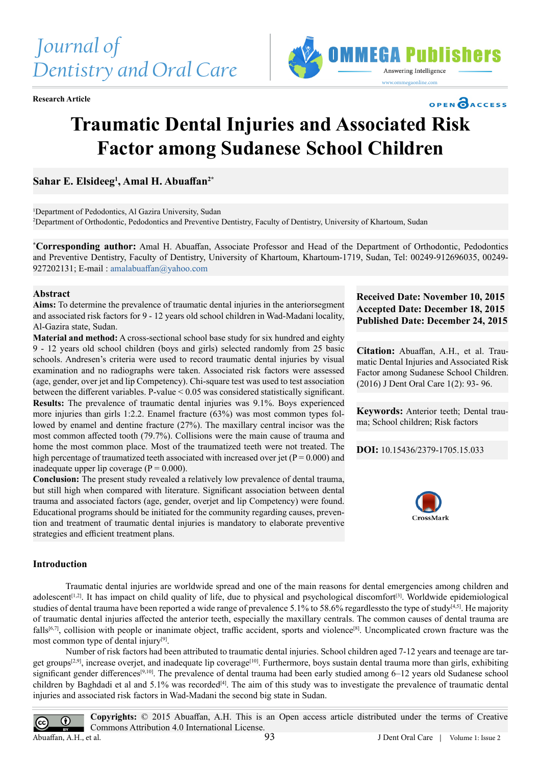



# **Traumatic Dental Injuries and Associated Risk Factor among Sudanese School Children**

**Sahar E. Elsideeg1 , Amal H. Abuaffan2\***

1 Department of Pedodontics, Al Gazira University, Sudan 2 Department of Orthodontic, Pedodontics and Preventive Dentistry, Faculty of Dentistry, University of Khartoum, Sudan

**\* Corresponding author:** Amal H. Abuaffan, Associate Professor and Head of the Department of Orthodontic, Pedodontics and Preventive Dentistry, Faculty of Dentistry, University of Khartoum, Khartoum-1719, Sudan, Tel: 00249-912696035, 00249- 927202131; E-mail : [amalabuaffan@yahoo.com](mailto:amalabuaffan%40yahoo.com?subject=)

#### **Abstract**

**Aims:** To determine the prevalence of traumatic dental injuries in the anteriorsegment and associated risk factors for 9 - 12 years old school children in Wad-Madani locality, Al-Gazira state, Sudan.

**Material and method:** A cross-sectional school base study for six hundred and eighty 9 - 12 years old school children (boys and girls) selected randomly from 25 basic schools. Andresen's criteria were used to record traumatic dental injuries by visual examination and no radiographs were taken. Associated risk factors were assessed (age, gender, over jet and lip Competency). Chi-square test was used to test association between the different variables. P-value < 0.05 was considered statistically significant. **Results:** The prevalence of traumatic dental injuries was 9.1%. Boys experienced more injuries than girls 1:2.2. Enamel fracture (63%) was most common types followed by enamel and dentine fracture (27%). The maxillary central incisor was the most common affected tooth (79.7%). Collisions were the main cause of trauma and home the most common place. Most of the traumatized teeth were not treated. The high percentage of traumatized teeth associated with increased over jet ( $P = 0.000$ ) and inadequate upper lip coverage  $(P = 0.000)$ .

**Conclusion:** The present study revealed a relatively low prevalence of dental trauma, but still high when compared with literature. Significant association between dental trauma and associated factors (age, gender, overjet and lip Competency) were found. Educational programs should be initiated for the community regarding causes, prevention and treatment of traumatic dental injuries is mandatory to elaborate preventive strategies and efficient treatment plans.

## **Received Date: November 10, 2015 Accepted Date: December 18, 2015 Published Date: December 24, 2015**

OPEN CACCESS

**Citation:** Abuaffan, A.H., et al. Traumatic Dental Injuries and Associated Risk Factor among Sudanese School Children. (2016) J Dent Oral Care 1(2): 93- 96.

**Keywords:** Anterior teeth; Dental trauma; School children; Risk factors

**DOI:** [10.15436/2379-1705.15.033](http://www.dx.doi.org/10.15436/2379-1705.15.033)



## **Introduction**

Traumatic dental injuries are worldwide spread and one of the main reasons for dental emergencies among children and adolescent<sup>[1,2]</sup>. It has impact on child quality of life, due to physical and psychological discomfort<sup>[3]</sup>. Worldwide epidemiological studies of dental trauma have been reported a wide range of prevalence 5.1% to 58.6% regardlessto the type of study $[4,5]$ . He majority of traumatic dental injuries affected the anterior teeth, especially the maxillary centrals. The common causes of dental trauma are falls<sup>[6,7]</sup>, collision with people or inanimate object, traffic accident, sports and violence<sup>[8]</sup>. Uncomplicated crown fracture was the most common type of dental injury<sup>[9]</sup>.

Number of risk factors had been attributed to traumatic dental injuries. School children aged 7-12 years and teenage are tar-get groups<sup>[2,9]</sup>, increase overjet, and inadequate lip coverage<sup>[\[10\]](#page-3-3)</sup>. Furthermore, boys sustain dental trauma more than girls, exhibiting significant gender differences<sup>[\[9,10\]](#page-3-2)</sup>. The prevalence of dental trauma had been early studied among 6–12 years old Sudanese school children by Baghdadi et al and 5.1% was recorded<sup>[\[4\]](#page-2-2)</sup>. The aim of this study was to investigate the prevalence of traumatic dental injuries and associated risk factors in Wad-Madani the second big state in Sudan.

**Copyrights:** © 2015 Abuaffan, A.H. This is an Open access article distributed under the terms of Creative  $\odot$ Commons Attribution 4.0 International License. Abuaffan, A.H., et al. 93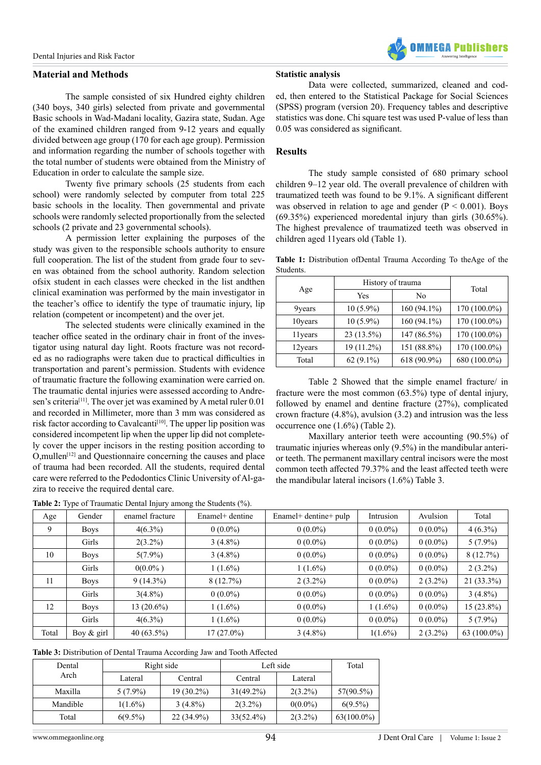#### **Material and Methods**

The sample consisted of six Hundred eighty children (340 boys, 340 girls) selected from private and governmental Basic schools in Wad-Madani locality, Gazira state, Sudan. Age of the examined children ranged from 9-12 years and equally divided between age group (170 for each age group). Permission and information regarding the number of schools together with the total number of students were obtained from the Ministry of Education in order to calculate the sample size.

Twenty five primary schools (25 students from each school) were randomly selected by computer from total 225 basic schools in the locality. Then governmental and private schools were randomly selected proportionally from the selected schools (2 private and 23 governmental schools).

A permission letter explaining the purposes of the study was given to the responsible schools authority to ensure full cooperation. The list of the student from grade four to seven was obtained from the school authority. Random selection ofsix student in each classes were checked in the list andthen clinical examination was performed by the main investigator in the teacher's office to identify the type of traumatic injury, lip relation (competent or incompetent) and the over jet.

The selected students were clinically examined in the teacher office seated in the ordinary chair in front of the investigator using natural day light. Roots fracture was not recorded as no radiographs were taken due to practical difficulties in transportation and parent's permission. Students with evidence of traumatic fracture the following examination were carried on. The traumatic dental injuries were assessed according to Andresen's criteria<sup>[11]</sup>. The over jet was examined by A metal ruler 0.01 and recorded in Millimeter, more than 3 mm was considered as risk factor according to Cavalcanti<sup>[\[10\]](#page-3-3)</sup>. The upper lip position was considered incompetent lip when the upper lip did not completely cover the upper incisors in the resting position according to O,mulle[n\[12\]](#page-3-5) and Questionnaire concerning the causes and place of trauma had been recorded. All the students, required dental care were referred to the Pedodontics Clinic University of Al-gazira to receive the required dental care.

**Table 2:** Type of Traumatic Dental Injury among the Students (%).

### **Statistic analysis**

Data were collected, summarized, cleaned and coded, then entered to the Statistical Package for Social Sciences (SPSS) program (version 20). Frequency tables and descriptive statistics was done. Chi square test was used P-value of less than 0.05 was considered as significant.

#### **Results**

The study sample consisted of 680 primary school children 9–12 year old. The overall prevalence of children with traumatized teeth was found to be 9.1%. A significant different was observed in relation to age and gender  $(P < 0.001)$ . Boys (69.35%) experienced moredental injury than girls (30.65%). The highest prevalence of traumatized teeth was observed in children aged 11years old (Table 1).

**Table 1:** Distribution ofDental Trauma According To theAge of the Students.

| Age     | History of trauma | Total       |              |
|---------|-------------------|-------------|--------------|
|         | Yes               | No          |              |
| 9years  | $10(5.9\%)$       | 160 (94.1%) | 170 (100.0%) |
| 10years | $10(5.9\%)$       | 160 (94.1%) | 170 (100.0%) |
| 11years | 23 (13.5%)        | 147 (86.5%) | 170 (100.0%) |
| 12years | 19 (11.2%)        | 151 (88.8%) | 170 (100.0%) |
| Total   | 62 $(9.1\%)$      | 618 (90.9%) | 680 (100.0%) |

Table 2 Showed that the simple enamel fracture/ in fracture were the most common (63.5%) type of dental injury, followed by enamel and dentine fracture (27%), complicated crown fracture (4.8%), avulsion (3.2) and intrusion was the less occurrence one (1.6%) (Table 2).

Maxillary anterior teeth were accounting (90.5%) of traumatic injuries whereas only (9.5%) in the mandibular anterior teeth. The permanent maxillary central incisors were the most common teeth affected 79.37% and the least affected teeth were the mandibular lateral incisors (1.6%) Table 3.

|       | . .         |                 |                 |                       |            |            |                |
|-------|-------------|-----------------|-----------------|-----------------------|------------|------------|----------------|
| Age   | Gender      | enamel fracture | Enamel+ dentine | Enamel+ dentine+ pulp | Intrusion  | Avulsion   | Total          |
| 9     | <b>Boys</b> | $4(6.3\%)$      | $0(0.0\%)$      | $0(0.0\%)$            | $0(0.0\%)$ | $0(0.0\%)$ | $4(6.3\%)$     |
|       | Girls       | $2(3.2\%)$      | $3(4.8\%)$      | $0(0.0\%)$            | $0(0.0\%)$ | $0(0.0\%)$ | $5(7.9\%)$     |
| 10    | <b>Boys</b> | $5(7.9\%)$      | $3(4.8\%)$      | $0(0.0\%)$            | $0(0.0\%)$ | $0(0.0\%)$ | 8(12.7%)       |
|       | Girls       | $0(0.0\%)$      | $1(1.6\%)$      | $1(1.6\%)$            | $0(0.0\%)$ | $0(0.0\%)$ | $2(3.2\%)$     |
| 11    | <b>Boys</b> | $9(14.3\%)$     | 8(12.7%)        | $2(3.2\%)$            | $0(0.0\%)$ | $2(3.2\%)$ | 21 (33.3%)     |
|       | Girls       | $3(4.8\%)$      | $0(0.0\%)$      | $0(0.0\%)$            | $0(0.0\%)$ | $0(0.0\%)$ | $3(4.8\%)$     |
| 12    | <b>Boys</b> | 13 (20.6%)      | $1(1.6\%)$      | $0(0.0\%)$            | $1(1.6\%)$ | $0(0.0\%)$ | $15(23.8\%)$   |
|       | Girls       | $4(6.3\%)$      | $1(1.6\%)$      | $0(0.0\%)$            | $0(0.0\%)$ | $0(0.0\%)$ | $5(7.9\%)$     |
| Total | Boy & girl  | 40 $(63.5\%)$   | 17 (27.0%)      | $3(4.8\%)$            | $1(1.6\%)$ | $2(3.2\%)$ | 63 $(100.0\%)$ |
|       |             |                 |                 |                       |            |            |                |

**Table 3:** Distribution of Dental Trauma According Jaw and Tooth Affected

| Dental   | Right side |              | Left side    |            | Total         |
|----------|------------|--------------|--------------|------------|---------------|
| Arch     | Lateral    | Central      | Central      | Lateral    |               |
| Maxilla  | $5(7.9\%)$ | $19(30.2\%)$ | $31(49.2\%)$ | $2(3.2\%)$ | 57(90.5%)     |
| Mandible | $1(1.6\%)$ | $3(4.8\%)$   | $2(3.2\%)$   | $0(0.0\%)$ | $6(9.5\%)$    |
| Total    | $6(9.5\%)$ | $22(34.9\%)$ | $33(52.4\%)$ | $2(3.2\%)$ | $63(100.0\%)$ |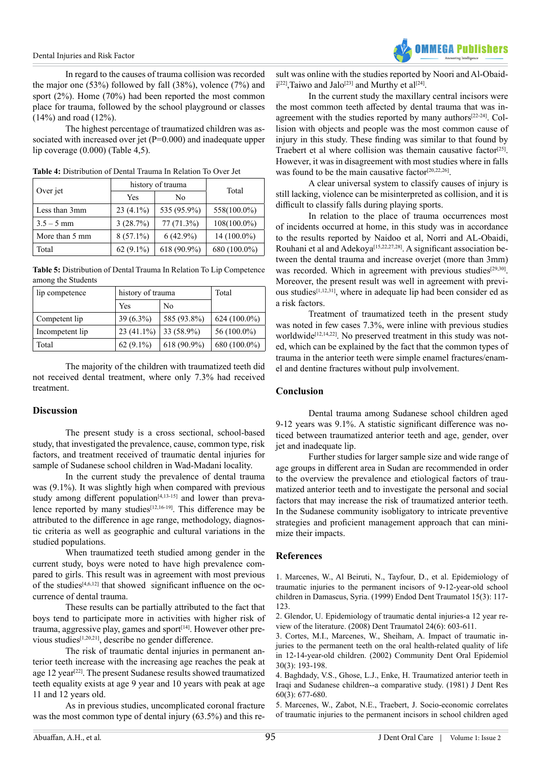In regard to the causes of trauma collision was recorded the major one (53%) followed by fall (38%), volence (7%) and sport (2%). Home (70%) had been reported the most common place for trauma, followed by the school playground or classes (14%) and road (12%).

The highest percentage of traumatized children was associated with increased over jet (P=0.000) and inadequate upper lip coverage (0.000) (Table 4,5).

|                | history of trauma |              |              |  |
|----------------|-------------------|--------------|--------------|--|
| Over jet       | Yes               | No           | Total        |  |
| Less than 3mm  | $23(4.1\%)$       | 535 (95.9%)  | 558(100.0%)  |  |
| $3.5 - 5$ mm   | 3(28.7%)          | $77(71.3\%)$ | 108(100.0%)  |  |
| More than 5 mm | $8(57.1\%)$       | $6(42.9\%)$  | 14 (100.0%)  |  |
| Total          | $62(9.1\%)$       | 618 (90.9%)  | 680 (100.0%) |  |

**Table 4:** Distribution of Dental Trauma In Relation To Over Jet

**Table 5:** Distribution of Dental Trauma In Relation To Lip Competence among the Students

| lip competence  | history of trauma |             | Total          |
|-----------------|-------------------|-------------|----------------|
|                 | Yes               | No          |                |
| Competent lip   | $39(6.3\%)$       | 585 (93.8%) | $624(100.0\%)$ |
| Incompetent lip | $23(41.1\%)$      | 33 (58.9%)  | 56 (100.0%)    |
| Total           | $62(9.1\%)$       | 618 (90.9%) | 680 (100.0%)   |

The majority of the children with traumatized teeth did not received dental treatment, where only 7.3% had received treatment.

#### **Discussion**

The present study is a cross sectional, school-based study, that investigated the prevalence, cause, common type, risk factors, and treatment received of traumatic dental injuries for sample of Sudanese school children in Wad-Madani locality.

In the current study the prevalence of dental trauma was (9.1%). It was slightly high when compared with previous study among different population<sup>[\[4,13-15\]](#page-3-6)</sup> and lower than prevalence reported by many studies<sup>[12,16-19]</sup>. This difference may be attributed to the difference in age range, methodology, diagnostic criteria as well as geographic and cultural variations in the studied populations.

When traumatized teeth studied among gender in the current study, boys were noted to have high prevalence compared to girls. This result was in agreement with most previous of the studies<sup> $[4,6,12]$ </sup> that showed significant influence on the occurrence of dental trauma.

These results can be partially attributed to the fact that boys tend to participate more in activities with higher risk of trauma, aggressive play, games and sport<sup>[\[14\]](#page-3-6)</sup>. However other previous studies[\[1,20,21\]](#page-3-8), describe no gender difference.

The risk of traumatic dental injuries in permanent anterior teeth increase with the increasing age reaches the peak at age 12 year<sup>[22]</sup>. The present Sudanese results showed traumatized teeth equality exists at age 9 year and 10 years with peak at age 11 and 12 years old.

As in previous studies, uncomplicated coronal fracture was the most common type of dental injury (63.5%) and this re-



sult was online with the studies reported by Noori and Al-Obaid-i<sup>[\[22\]](#page-3-9)</sup>,Taiwo and Jalo<sup>[23]</sup> and Murthy et al<sup>[\[24\]](#page-3-11)</sup>.

In the current study the maxillary central incisors were the most common teeth affected by dental trauma that was in-agreement with the studies reported by many authors<sup>[\[22-24\]](#page-3-9)</sup>. Collision with objects and people was the most common cause of injury in this study. These finding was similar to that found by Traebert et al where collision was themain causative factor<sup>[25]</sup>. However, it was in disagreement with most studies where in falls was found to be the main causative factor<sup>[\[20,22,26\]](#page-3-13)</sup>.

A clear universal system to classify causes of injury is still lacking, violence can be misinterpreted as collision, and it is difficult to classify falls during playing sports.

In relation to the place of trauma occurrences most of incidents occurred at home, in this study was in accordance to the results reported by Naidoo et al, Norri and AL-Obaidi, Rouhani et al and Adekoya<sup>[\[15,22,27,28\]](#page-3-14)</sup>. A significant association between the dental trauma and increase overjet (more than 3mm) was recorded. Which in agreement with previous studies<sup>[\[29,30\]](#page-3-15)</sup>. Moreover, the present result was well in agreement with previ-ous studies<sup>[\[1,12,31\]](#page-3-16)</sup>, where in adequate lip had been consider ed as a risk factors.

Treatment of traumatized teeth in the present study was noted in few cases 7.3%, were inline with previous studies worldwide<sup>[\[12,14,22\]](#page-3-9)</sup>. No preserved treatment in this study was noted, which can be explained by the fact that the common types of trauma in the anterior teeth were simple enamel fractures/enamel and dentine fractures without pulp involvement.

## **Conclusion**

Dental trauma among Sudanese school children aged 9-12 years was 9.1%. A statistic significant difference was noticed between traumatized anterior teeth and age, gender, over jet and inadequate lip.

Further studies for larger sample size and wide range of age groups in different area in Sudan are recommended in order to the overview the prevalence and etiological factors of traumatized anterior teeth and to investigate the personal and social factors that may increase the risk of traumatized anterior teeth. In the Sudanese community isobligatory to intricate preventive strategies and proficient management approach that can minimize their impacts.

#### **References**

<span id="page-2-0"></span>[1. Marcenes, W., Al Beiruti, N., Tayfour, D., et al. Epidemiology of](http://onlinelibrary.wiley.com/doi/10.1111/j.1600-9657.1999.tb00767.x/abstract) [traumatic injuries to the permanent incisors of 9-12-year-old school](http://onlinelibrary.wiley.com/doi/10.1111/j.1600-9657.1999.tb00767.x/abstract) [children in Damascus, Syria. \(1999\) Endod Dent Traumatol 15\(3\): 117-](http://onlinelibrary.wiley.com/doi/10.1111/j.1600-9657.1999.tb00767.x/abstract) [123.](http://onlinelibrary.wiley.com/doi/10.1111/j.1600-9657.1999.tb00767.x/abstract)

[2. Glendor, U. Epidemiology of traumatic dental injuries-a 12 year re](http://www.ncbi.nlm.nih.gov/pubmed/19021651)[view of the literature. \(2008\) Dent Traumatol 24\(6\): 603-611.](http://www.ncbi.nlm.nih.gov/pubmed/19021651)

<span id="page-2-1"></span>[3. Cortes, M.I., Marcenes, W., Sheiham, A. Impact of traumatic in](http://onlinelibrary.wiley.com/doi/10.1034/j.1600-0528.2002.300305.x/abstract)[juries to the permanent teeth on the oral health-related quality of life](http://onlinelibrary.wiley.com/doi/10.1034/j.1600-0528.2002.300305.x/abstract) [in 12-14-year-old children. \(2002\) Community Dent Oral Epidemiol](http://onlinelibrary.wiley.com/doi/10.1034/j.1600-0528.2002.300305.x/abstract) [30\(3\): 193-198.](http://onlinelibrary.wiley.com/doi/10.1034/j.1600-0528.2002.300305.x/abstract)

<span id="page-2-2"></span>[4. Baghdady, V.S., Ghose, L.J., Enke, H. Traumatized anterior teeth in](http://www.ncbi.nlm.nih.gov/pubmed/6937498) [Iraqi and Sudanese children--a comparative study. \(1981\) J Dent Res](http://www.ncbi.nlm.nih.gov/pubmed/6937498) [60\(3\): 677-680.](http://www.ncbi.nlm.nih.gov/pubmed/6937498)

[5. Marcenes, W., Zabot, N.E., Traebert, J. Socio-economic correlates](http://www.ncbi.nlm.nih.gov/pubmed/11678542) [of traumatic injuries to the permanent incisors in school children aged](http://www.ncbi.nlm.nih.gov/pubmed/11678542)